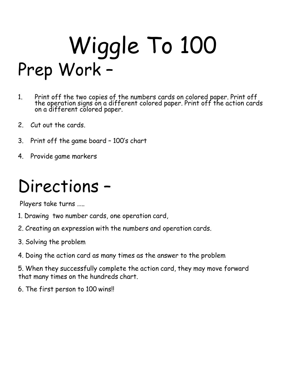# Wiggle To 100 Prep Work –

- 1. Print off the two copies of the numbers cards on colored paper. Print off the operation signs on a different colored paper. Print off the action cards on a different colored paper.
- 2. Cut out the cards.
- 3. Print off the game board 100's chart
- 4. Provide game markers

# Directions –

Players take turns …..

- 1. Drawing two number cards, one operation card,
- 2. Creating an expression with the numbers and operation cards.
- 3. Solving the problem
- 4. Doing the action card as many times as the answer to the problem

5. When they successfully complete the action card, they may move forward that many times on the hundreds chart.

6. The first person to 100 wins!!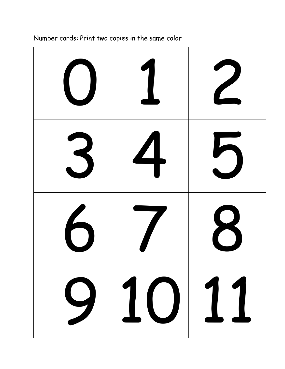|   |         | $\frac{1}{\sqrt{2}}$    |
|---|---------|-------------------------|
| 3 | 4       | $\overline{\mathbf{b}}$ |
| 6 |         | 8                       |
|   | 9 10 11 |                         |

## Number cards: Print two copies in the same color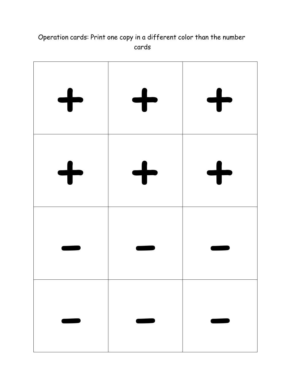#### Operation cards: Print one copy in a different color than the number cards

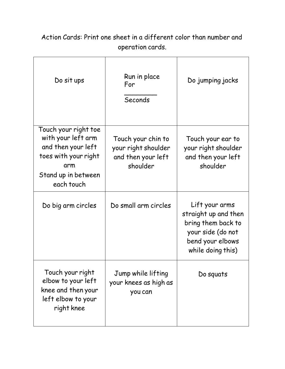| Do sit ups                                                                                                                           | Run in place<br>For<br>Seconds                                              | Do jumping jacks                                                                                                           |
|--------------------------------------------------------------------------------------------------------------------------------------|-----------------------------------------------------------------------------|----------------------------------------------------------------------------------------------------------------------------|
| Touch your right toe<br>with your left arm<br>and then your left<br>toes with your right<br>arm<br>Stand up in between<br>each touch | Touch your chin to<br>your right shoulder<br>and then your left<br>shoulder | Touch your ear to<br>your right shoulder<br>and then your left<br>shoulder                                                 |
| Do big arm circles                                                                                                                   | Do small arm circles                                                        | Lift your arms<br>straight up and then<br>bring them back to<br>your side (do not<br>bend your elbows<br>while doing this) |
| Touch your right<br>elbow to your left<br>knee and then your<br>left elbow to your<br>right knee                                     | Jump while lifting<br>your knees as high as<br>you can                      | Do squats                                                                                                                  |

### Action Cards: Print one sheet in a different color than number and operation cards.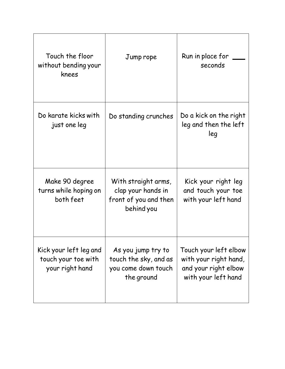| Touch the floor<br>without bending your<br>knees                 | Jump rope                                                                        | Run in place for<br>seconds                                                                   |
|------------------------------------------------------------------|----------------------------------------------------------------------------------|-----------------------------------------------------------------------------------------------|
| Do karate kicks with<br>just one leg                             | Do standing crunches                                                             | Do a kick on the right<br>leg and then the left<br>leg                                        |
| Make 90 degree<br>turns while hoping on<br>both feet             | With straight arms,<br>clap your hands in<br>front of you and then<br>behind you | Kick your right leg<br>and touch your toe<br>with your left hand                              |
| Kick your left leg and<br>touch your toe with<br>your right hand | As you jump try to<br>touch the sky, and as<br>you come down touch<br>the ground | Touch your left elbow<br>with your right hand,<br>and your right elbow<br>with your left hand |